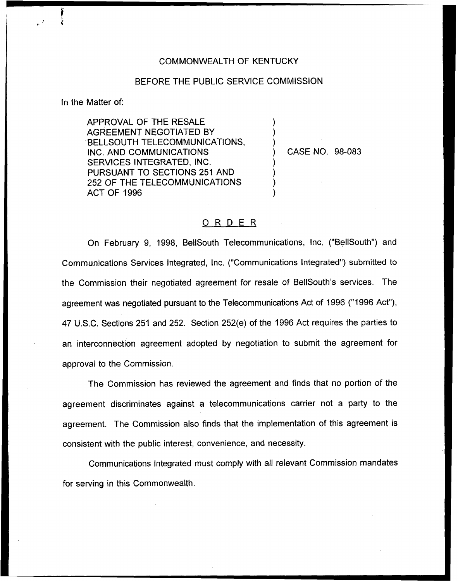## COMMONWEALTH OF KENTUCKY

## BEFORE THE PUBLIC SERVICE COMMISSION

) ) )

) ) ) )

in the Matter of:

APPROVAL OF THE RESALE AGREEMENT NEGOTIATED BY BELLSOUTH TELECOMMUNICATIONS, INC. AND COMMUNICATIONS SERVICES INTEGRATED, INC. PURSUANT TO SECTIONS 251 AND 252 OF THE TELECOMMUNICATIONS ACT OF 1996

) CASE NO. 98-083

## ORDER

On February 9, 1998, BellSouth Telecommunications, Inc. ("BelISouth") and Communications Services Integrated, Inc. ("Communications integrated") submitted to the Commission their negotiated agreement for resale of BellSouth's services. The agreement was negotiated pursuant to the Telecommunications Act of 1996 ("1996 Act"), 47 U.S.C. Sections 251 and 252. Section 252(e) of the 1996 Act requires the parties to an interconnection agreement adopted by negotiation to submit the agreement for approval to the Commission.

The Commission has reviewed the agreement and finds that no portion of the agreement discriminates against a telecommunications carrier not a party to the agreement. The Commission also finds that the implementation of this agreement is consistent with the public interest, convenience, and necessity.

Communications Integrated must comply with all relevant Commission mandates for serving in this Commonwealth.